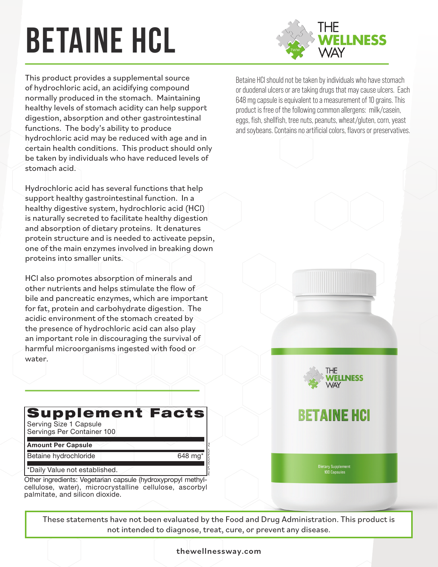# **betaine hcL**



This product provides a supplemental source of hydrochloric acid, an acidifying compound normally produced in the stomach. Maintaining healthy levels of stomach acidity can help support digestion, absorption and other gastrointestinal functions. The body's ability to produce hydrochloric acid may be reduced with age and in certain health conditions. This product should only be taken by individuals who have reduced levels of stomach acid.

Hydrochloric acid has several functions that help support healthy gastrointestinal function. In a healthy digestive system, hydrochloric acid (HCl) is naturally secreted to facilitate healthy digestion and absorption of dietary proteins. It denatures protein structure and is needed to activeate pepsin, one of the main enzymes involved in breaking down proteins into smaller units.

HCl also promotes absorption of minerals and other nutrients and helps stimulate the flow of bile and pancreatic enzymes, which are important for fat, protein and carbohydrate digestion. The acidic environment of the stomach created by the presence of hydrochloric acid can also play an important role in discouraging the survival of harmful microorganisms ingested with food or water.

**Supplement Facts** Serving Size 1 Capsule Servings Per Container 100 **Amount Per Capsule** Betaine hydrochloride and the control of 648 mg\* \*Daily Value not established. Other ingredients: Vegetarian capsule (hydroxypropyl methyl-

cellulose, water), microcrystalline cellulose, ascorbyl palmitate, and silicon dioxide.

PLEASE ADD TO LEFT PANEL:

Betaine HCl should not be taken by individuals who have stomach or duodenal ulcers or are taking drugs that may cause ulcers. Each 648 mg capsule is equivalent to a measurement of 10 grains. This product is free of the following common allergens: milk/casein, eggs, fish, shellfish, tree nuts, peanuts, wheat/gluten, corn, yeast and soybeans. Contains no artificial colors, flavors or preservatives.



### **BETAINE HCI**

Dietary Supplement<br>100 Cansules

These statements have not been evaluated by the Food and Drug Administration. This product is not intended to diagnose, treat, cure, or prevent any disease.  $p_{\text{m}}$  and the member to diagnose, the reaches of  $P$ 129<br>|<br>|<br>|

BHC/200706.01

the wellness way.com